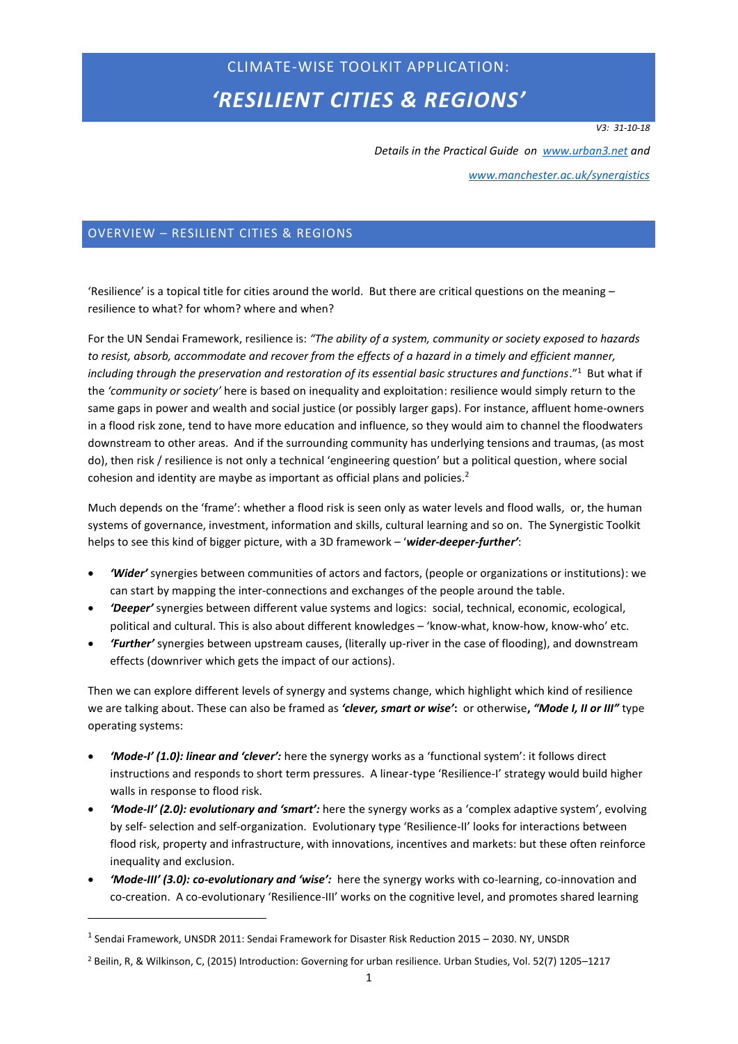# CLIMATE-WISE TOOLKIT APPLICATION: *'RESILIENT CITIES & REGIONS'*

*V3: 31-10-18*

*Details in the Practical Guide on [www.urban3.net](http://www.urban3.net/) and* 

*[www.manchester.ac.uk/synergistics](http://www.manchester.ac.uk/synergistics)*

# OVERVIEW – RESILIENT CITIES & REGIONS

'Resilience' is a topical title for cities around the world. But there are critical questions on the meaning  $$ resilience to what? for whom? where and when?

For the UN Sendai Framework, resilience is: *"The ability of a system, community or society exposed to hazards to resist, absorb, accommodate and recover from the effects of a hazard in a timely and efficient manner,*  including through the preservation and restoration of its essential basic structures and functions."<sup>1</sup> But what if the *'community or society'* here is based on inequality and exploitation: resilience would simply return to the same gaps in power and wealth and social justice (or possibly larger gaps). For instance, affluent home-owners in a flood risk zone, tend to have more education and influence, so they would aim to channel the floodwaters downstream to other areas. And if the surrounding community has underlying tensions and traumas, (as most do), then risk / resilience is not only a technical 'engineering question' but a political question, where social cohesion and identity are maybe as important as official plans and policies.<sup>2</sup>

Much depends on the 'frame': whether a flood risk is seen only as water levels and flood walls, or, the human systems of governance, investment, information and skills, cultural learning and so on. The Synergistic Toolkit helps to see this kind of bigger picture, with a 3D framework – '*wider-deeper-further'*:

- *'Wider'* synergies between communities of actors and factors, (people or organizations or institutions): we can start by mapping the inter-connections and exchanges of the people around the table.
- *'Deeper'* synergies between different value systems and logics: social, technical, economic, ecological, political and cultural. This is also about different knowledges – 'know-what, know-how, know-who' etc.
- *'Further'* synergies between upstream causes, (literally up-river in the case of flooding), and downstream effects (downriver which gets the impact of our actions).

Then we can explore different levels of synergy and systems change, which highlight which kind of resilience we are talking about. These can also be framed as *'clever, smart or wise'***:** or otherwise**,** *"Mode I, II or III"* type operating systems:

- *'Mode-I' (1.0): linear and 'clever':* here the synergy works as a 'functional system': it follows direct instructions and responds to short term pressures. A linear-type 'Resilience-I' strategy would build higher walls in response to flood risk.
- *'Mode-II' (2.0): evolutionary and 'smart':* here the synergy works as a 'complex adaptive system', evolving by self- selection and self-organization. Evolutionary type 'Resilience-II' looks for interactions between flood risk, property and infrastructure, with innovations, incentives and markets: but these often reinforce inequality and exclusion.
- *'Mode-III' (3.0): co-evolutionary and 'wise':* here the synergy works with co-learning, co-innovation and co-creation. A co-evolutionary 'Resilience-III' works on the cognitive level, and promotes shared learning

 $^{\rm 1}$  Sendai Framework, UNSDR 2011: Sendai Framework for Disaster Risk Reduction 2015 – 2030. NY, UNSDR

<sup>2</sup> Beilin, R, & Wilkinson, C, (2015) Introduction: Governing for urban resilience. Urban Studies, Vol. 52(7) 1205–1217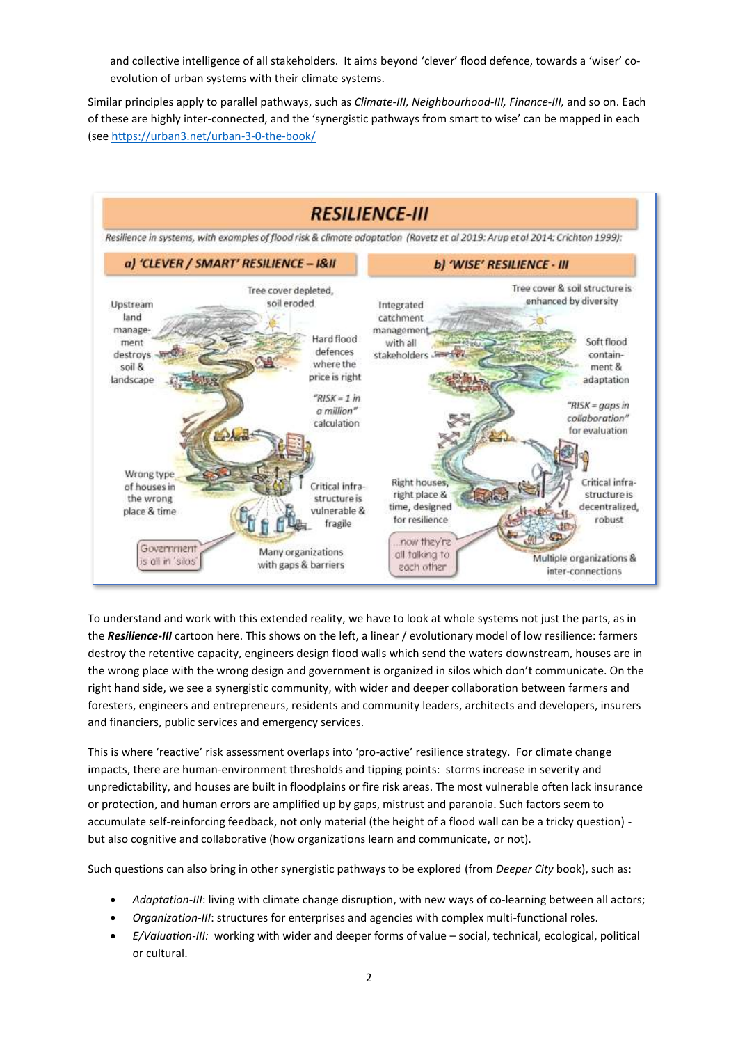and collective intelligence of all stakeholders. It aims beyond 'clever' flood defence, towards a 'wiser' coevolution of urban systems with their climate systems.

Similar principles apply to parallel pathways, such as *Climate-III, Neighbourhood-III, Finance-III,* and so on. Each of these are highly inter-connected, and the 'synergistic pathways from smart to wise' can be mapped in each (see<https://urban3.net/urban-3-0-the-book/>



To understand and work with this extended reality, we have to look at whole systems not just the parts, as in the *Resilience-III* cartoon here. This shows on the left, a linear / evolutionary model of low resilience: farmers destroy the retentive capacity, engineers design flood walls which send the waters downstream, houses are in the wrong place with the wrong design and government is organized in silos which don't communicate. On the right hand side, we see a synergistic community, with wider and deeper collaboration between farmers and foresters, engineers and entrepreneurs, residents and community leaders, architects and developers, insurers and financiers, public services and emergency services.

This is where 'reactive' risk assessment overlaps into 'pro-active' resilience strategy. For climate change impacts, there are human-environment thresholds and tipping points: storms increase in severity and unpredictability, and houses are built in floodplains or fire risk areas. The most vulnerable often lack insurance or protection, and human errors are amplified up by gaps, mistrust and paranoia. Such factors seem to accumulate self-reinforcing feedback, not only material (the height of a flood wall can be a tricky question) but also cognitive and collaborative (how organizations learn and communicate, or not).

Such questions can also bring in other synergistic pathways to be explored (from *Deeper City* book), such as:

- *Adaptation-III*: living with climate change disruption, with new ways of co-learning between all actors;
- *Organization*-*III*: structures for enterprises and agencies with complex multi-functional roles.
- *E/Valuation-III:* working with wider and deeper forms of value social, technical, ecological, political or cultural.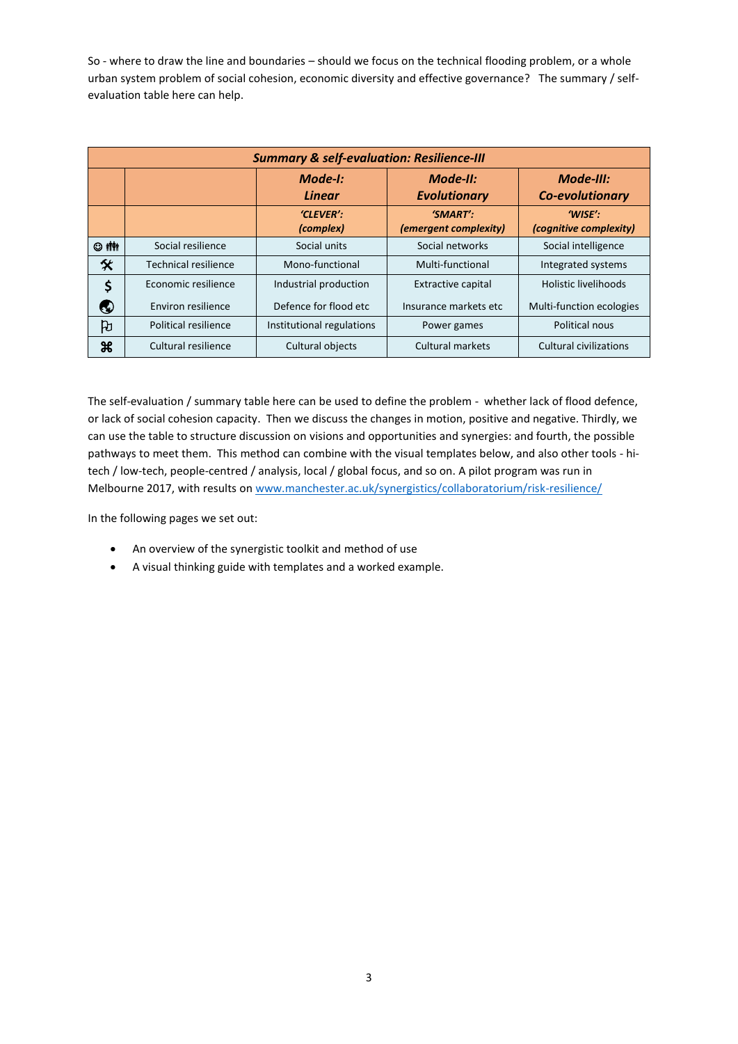So - where to draw the line and boundaries – should we focus on the technical flooding problem, or a whole urban system problem of social cohesion, economic diversity and effective governance? The summary / selfevaluation table here can help.

| <b>Summary &amp; self-evaluation: Resilience-III</b> |                      |                           |                                   |                                   |  |  |  |
|------------------------------------------------------|----------------------|---------------------------|-----------------------------------|-----------------------------------|--|--|--|
|                                                      |                      | Mode-I:<br><b>Linear</b>  | Mode-II:<br><b>Evolutionary</b>   | Mode-III:<br>Co-evolutionary      |  |  |  |
|                                                      |                      | 'CLEVER':<br>(complex)    | 'SMART':<br>(emergent complexity) | 'WISE':<br>(cognitive complexity) |  |  |  |
| © 个                                                  | Social resilience    | Social units              | Social networks                   | Social intelligence               |  |  |  |
| 父                                                    | Technical resilience | Mono-functional           | Multi-functional                  | Integrated systems                |  |  |  |
| \$                                                   | Economic resilience  | Industrial production     | <b>Extractive capital</b>         | <b>Holistic livelihoods</b>       |  |  |  |
| €                                                    | Environ resilience   | Defence for flood etc     | Insurance markets etc             | Multi-function ecologies          |  |  |  |
| ਹਿ                                                   | Political resilience | Institutional regulations | Power games                       | Political nous                    |  |  |  |
| æ                                                    | Cultural resilience  | Cultural objects          | <b>Cultural markets</b>           | <b>Cultural civilizations</b>     |  |  |  |

The self-evaluation / summary table here can be used to define the problem - whether lack of flood defence, or lack of social cohesion capacity. Then we discuss the changes in motion, positive and negative. Thirdly, we can use the table to structure discussion on visions and opportunities and synergies: and fourth, the possible pathways to meet them. This method can combine with the visual templates below, and also other tools - hitech / low-tech, people-centred / analysis, local / global focus, and so on. A pilot program was run in Melbourne 2017, with results on [www.manchester.ac.uk/synergistics/collaboratorium/risk-resilience/](http://www.manchester.ac.uk/synergistics/collaboratorium/risk-resilience/)

In the following pages we set out:

- An overview of the synergistic toolkit and method of use
- A visual thinking guide with templates and a worked example.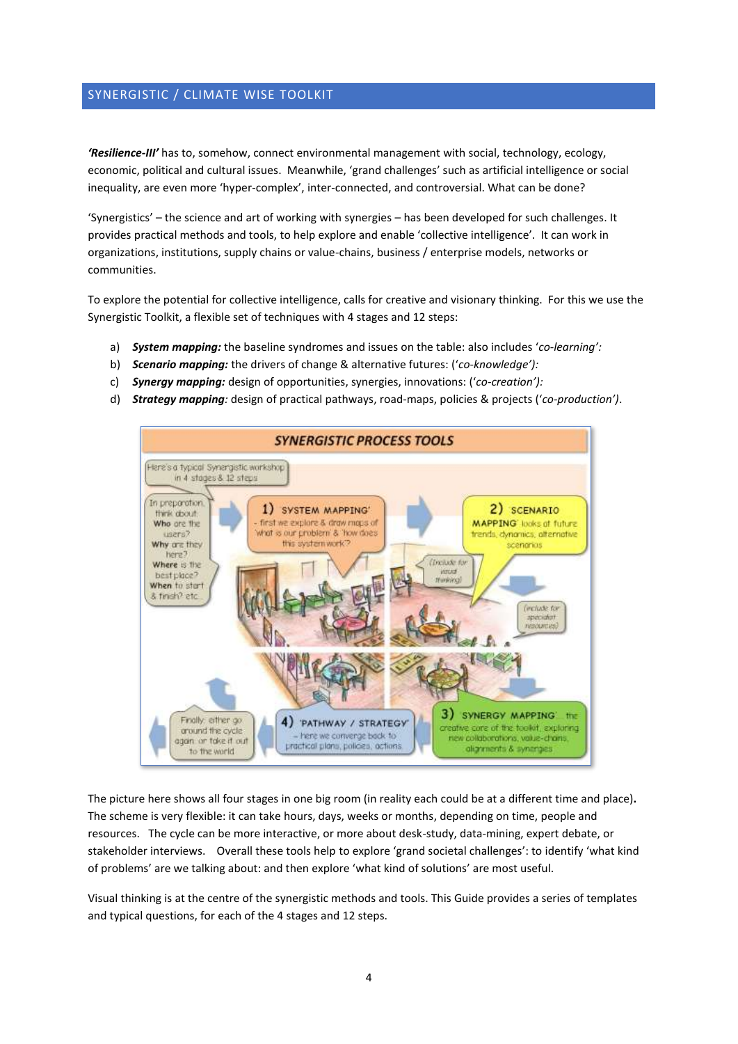#### SYNERGISTIC / CLIMATE WISE TOOLKIT

*'Resilience-III'* has to, somehow, connect environmental management with social, technology, ecology, economic, political and cultural issues. Meanwhile, 'grand challenges' such as artificial intelligence or social inequality, are even more 'hyper-complex', inter-connected, and controversial. What can be done?

'Synergistics' – the science and art of working with synergies – has been developed for such challenges. It provides practical methods and tools, to help explore and enable 'collective intelligence'. It can work in organizations, institutions, supply chains or value-chains, business / enterprise models, networks or communities.

To explore the potential for collective intelligence, calls for creative and visionary thinking. For this we use the Synergistic Toolkit, a flexible set of techniques with 4 stages and 12 steps:

- a) *System mapping:* the baseline syndromes and issues on the table: also includes '*co-learning':*
- b) *Scenario mapping:* the drivers of change & alternative futures: ('*co-knowledge'):*
- c) *Synergy mapping:* design of opportunities, synergies, innovations: ('*co-creation'):*
- d) *Strategy mapping:* design of practical pathways, road-maps, policies & projects ('*co-production')*.



The picture here shows all four stages in one big room (in reality each could be at a different time and place)**.**  The scheme is very flexible: it can take hours, days, weeks or months, depending on time, people and resources. The cycle can be more interactive, or more about desk-study, data-mining, expert debate, or stakeholder interviews. Overall these tools help to explore 'grand societal challenges': to identify 'what kind of problems' are we talking about: and then explore 'what kind of solutions' are most useful.

Visual thinking is at the centre of the synergistic methods and tools. This Guide provides a series of templates and typical questions, for each of the 4 stages and 12 steps.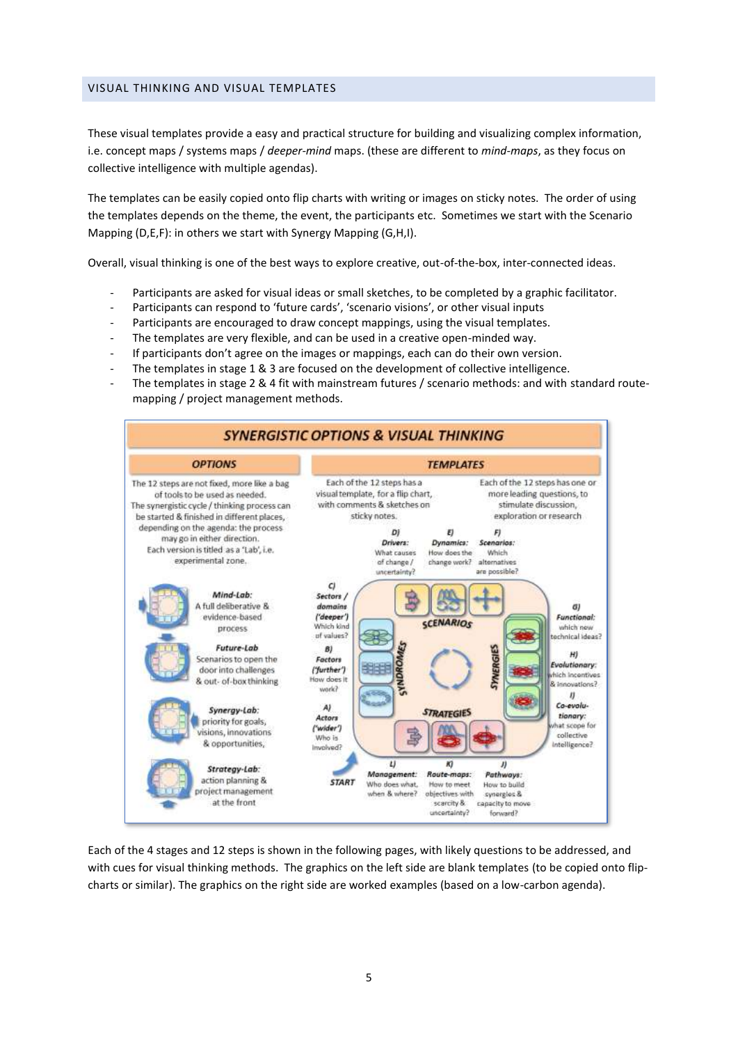#### VISUAL THINKING AND VISUAL TEMPLATES

These visual templates provide a easy and practical structure for building and visualizing complex information, i.e. concept maps / systems maps / *deeper-mind* maps. (these are different to *mind-maps*, as they focus on collective intelligence with multiple agendas).

The templates can be easily copied onto flip charts with writing or images on sticky notes. The order of using the templates depends on the theme, the event, the participants etc. Sometimes we start with the Scenario Mapping (D,E,F): in others we start with Synergy Mapping (G,H,I).

Overall, visual thinking is one of the best ways to explore creative, out-of-the-box, inter-connected ideas.

- Participants are asked for visual ideas or small sketches, to be completed by a graphic facilitator.
- Participants can respond to 'future cards', 'scenario visions', or other visual inputs
- Participants are encouraged to draw concept mappings, using the visual templates.
- The templates are very flexible, and can be used in a creative open-minded way.
- If participants don't agree on the images or mappings, each can do their own version.
- The templates in stage 1 & 3 are focused on the development of collective intelligence.
- The templates in stage 2 & 4 fit with mainstream futures / scenario methods: and with standard routemapping / project management methods.



Each of the 4 stages and 12 steps is shown in the following pages, with likely questions to be addressed, and with cues for visual thinking methods. The graphics on the left side are blank templates (to be copied onto flipcharts or similar). The graphics on the right side are worked examples (based on a low-carbon agenda).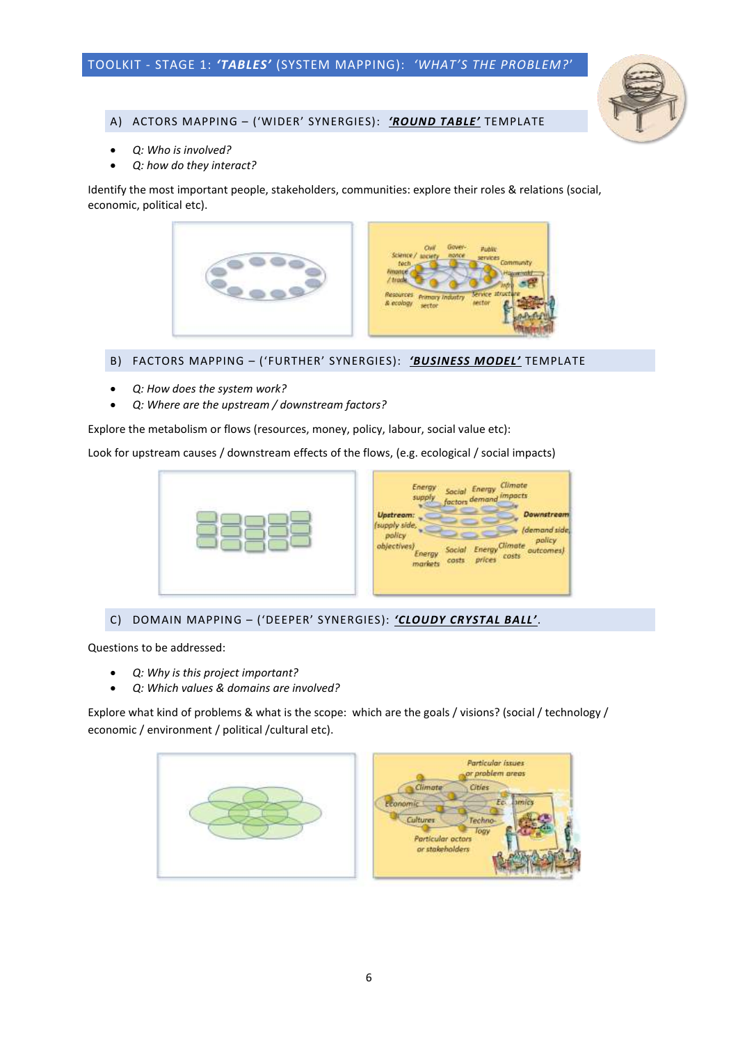

#### A) ACTORS MAPPING – ('WIDER' SYNERGIES): *'ROUND TABLE'* TEMPLATE

- *Q: Who is involved?*
- *Q: how do they interact?*

Identify the most important people, stakeholders, communities: explore their roles & relations (social, economic, political etc).



#### B) FACTORS MAPPING – ('FURTHER' SYNERGIES): *'BUSINESS MODEL'* TEMPLATE

- *Q: How does the system work?*
- *Q: Where are the upstream / downstream factors?*

Explore the metabolism or flows (resources, money, policy, labour, social value etc):

Look for upstream causes / downstream effects of the flows, (e.g. ecological / social impacts)



C) DOMAIN MAPPING – ('DEEPER' SYNERGIES): *'CLOUDY CRYSTAL BALL'*.

Questions to be addressed:

- *Q: Why is this project important?*
- *Q: Which values & domains are involved?*

Explore what kind of problems & what is the scope: which are the goals / visions? (social / technology / economic / environment / political /cultural etc).

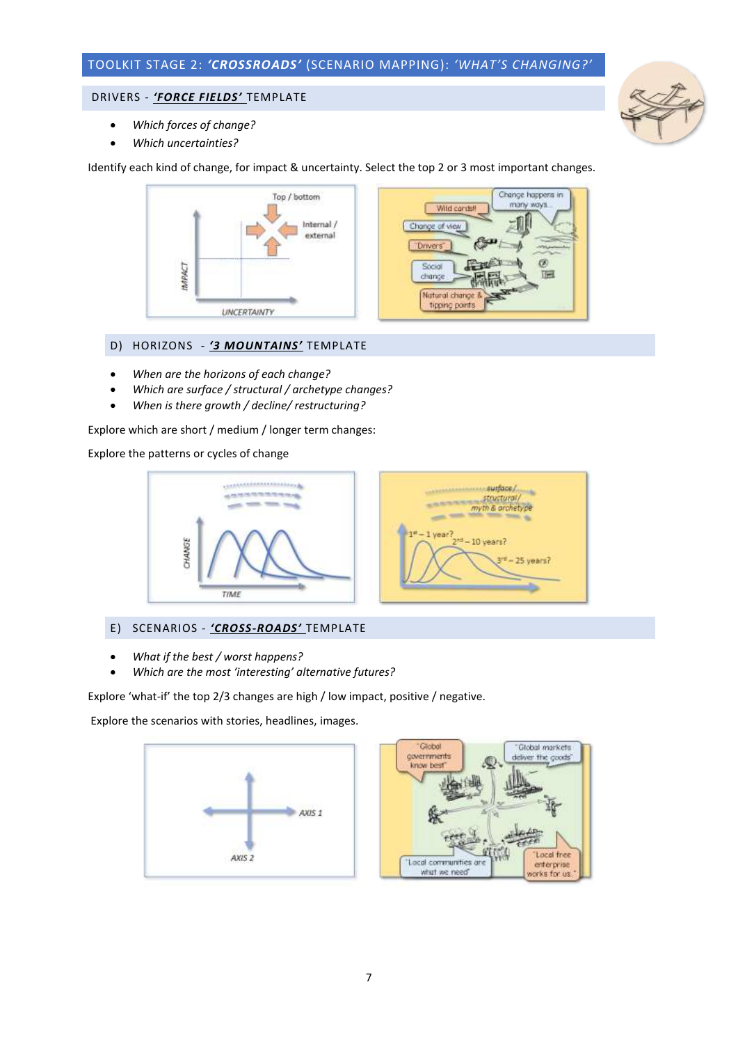## TOOLKIT STAGE 2: *'CROSSROADS'* (SCENARIO MAPPING): *'WHAT'S CHANGING?'*

#### DRIVERS - *'FORCE FIELDS'* TEMPLATE



- *Which forces of change?*
- *Which uncertainties?*

Identify each kind of change, for impact & uncertainty. Select the top 2 or 3 most important changes.



#### D) HORIZONS - *'3 MOUNTAINS'* TEMPLATE

- *When are the horizons of each change?*
- *Which are surface / structural / archetype changes?*
- *When is there growth / decline/ restructuring?*

Explore which are short / medium / longer term changes:

Explore the patterns or cycles of change



#### E) SCENARIOS - *'CROSS-ROADS'* TEMPLATE

- *What if the best / worst happens?*
- *Which are the most 'interesting' alternative futures?*

Explore 'what-if' the top 2/3 changes are high / low impact, positive / negative.

Explore the scenarios with stories, headlines, images.





surface/

structural/<br>myth & archetype

 $44 - 10$  years?

114

25 years?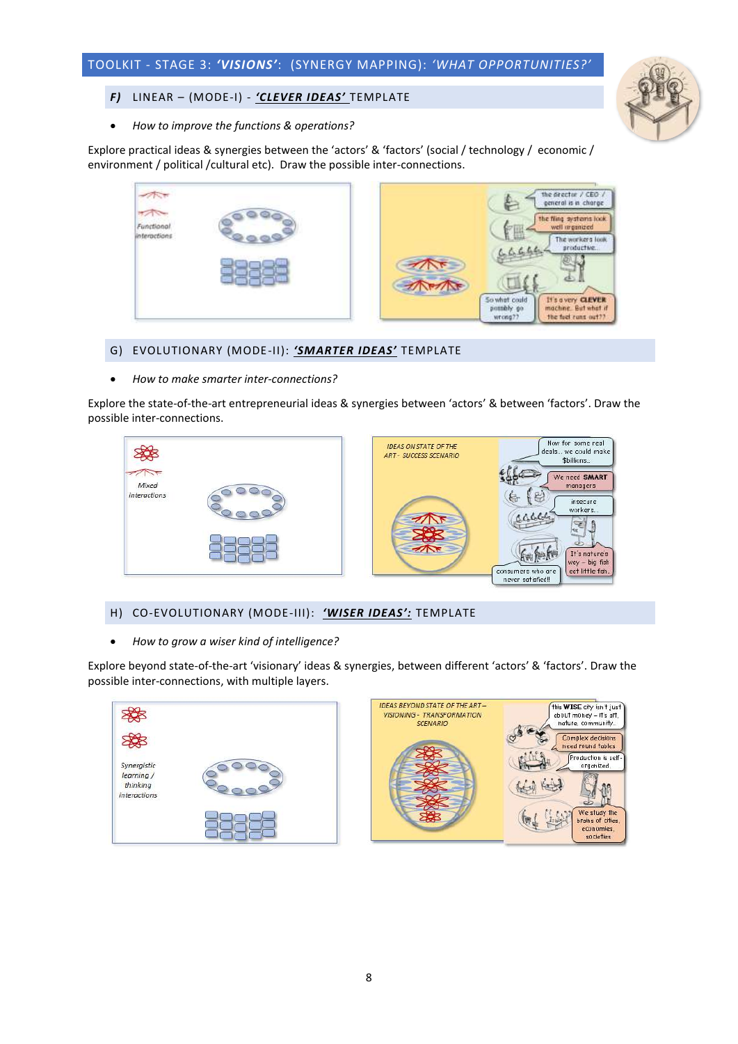

#### *F)* LINEAR – (MODE-I) - *'CLEVER IDEAS'* TEMPLATE

• *How to improve the functions & operations?*

Explore practical ideas & synergies between the 'actors' & 'factors' (social / technology / economic / environment / political /cultural etc). Draw the possible inter-connections.

|                            | the drector / CEO /<br>general is in charge<br>е<br>the fling systems look. |
|----------------------------|-----------------------------------------------------------------------------|
| Functional<br>interactions | well impinized<br>$\mathbf{f}$<br>囲<br>The workers look<br>productive       |
|                            | It's overy <b>CLEVER</b><br>So what could                                   |
|                            | machine. But what if<br>possibly go<br>the feel runs out??<br>wrong??       |

#### G) EVOLUTIONARY (MODE-II): *'SMARTER IDEAS'* TEMPLATE

• *How to make smarter inter-connections?*

Explore the state-of-the-art entrepreneurial ideas & synergies between 'actors' & between 'factors'. Draw the possible inter-connections.



#### H) CO-EVOLUTIONARY (MODE-III): *'WISER IDEAS':* TEMPLATE

• *How to grow a wiser kind of intelligence?*

Explore beyond state-of-the-art 'visionary' ideas & synergies, between different 'actors' & 'factors'. Draw the possible inter-connections, with multiple layers.



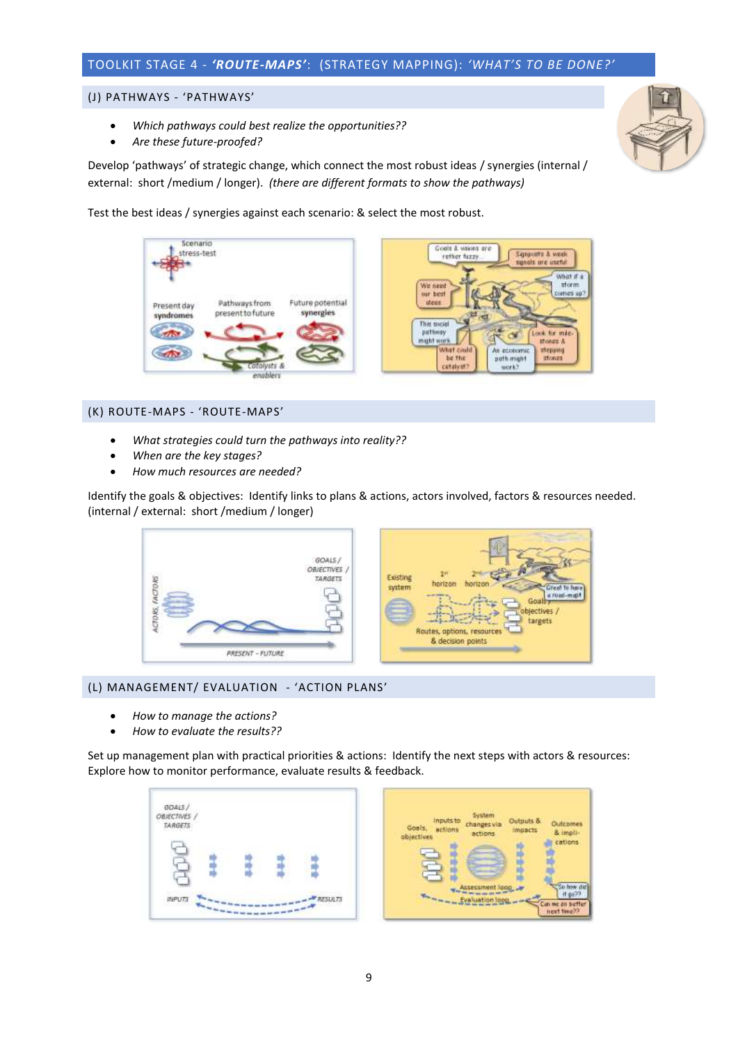### TOOLKIT STAGE 4 - *'ROUTE-MAPS'*: (STRATEGY MAPPING): *'WHAT'S TO BE DONE?'*

#### (J) PATHWAYS - 'PATHWAYS'

- *Which pathways could best realize the opportunities??*
- *Are these future-proofed?*

Develop 'pathways' of strategic change, which connect the most robust ideas / synergies (internal / external: short /medium / longer). *(there are different formats to show the pathways)*

Test the best ideas / synergies against each scenario: & select the most robust.



#### (K) ROUTE-MAPS - 'ROUTE-MAPS'

- *What strategies could turn the pathways into reality??*
- *When are the key stages?*
- *How much resources are needed?*

Identify the goals & objectives: Identify links to plans & actions, actors involved, factors & resources needed. (internal / external: short /medium / longer)



#### (L) MANAGEMENT/ EVALUATION - 'ACTION PLANS'

- *How to manage the actions?*
- *How to evaluate the results??*

Set up management plan with practical priorities & actions: Identify the next steps with actors & resources: Explore how to monitor performance, evaluate results & feedback.

Outcomes

& impli-

So haw di<br>If go<sup>30</sup>